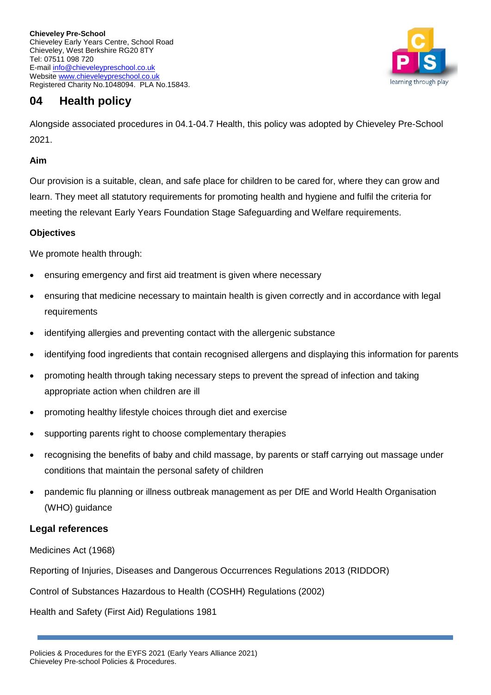

# **04 Health policy**

Alongside associated procedures in 04.1-04.7 Health, this policy was adopted by Chieveley Pre-School 2021.

## **Aim**

Our provision is a suitable, clean, and safe place for children to be cared for, where they can grow and learn. They meet all statutory requirements for promoting health and hygiene and fulfil the criteria for meeting the relevant Early Years Foundation Stage Safeguarding and Welfare requirements.

## **Objectives**

We promote health through:

- ensuring emergency and first aid treatment is given where necessary
- ensuring that medicine necessary to maintain health is given correctly and in accordance with legal requirements
- identifying allergies and preventing contact with the allergenic substance
- identifying food ingredients that contain recognised allergens and displaying this information for parents
- promoting health through taking necessary steps to prevent the spread of infection and taking appropriate action when children are ill
- promoting healthy lifestyle choices through diet and exercise
- supporting parents right to choose complementary therapies
- recognising the benefits of baby and child massage, by parents or staff carrying out massage under conditions that maintain the personal safety of children
- pandemic flu planning or illness outbreak management as per DfE and World Health Organisation (WHO) guidance

# **Legal references**

Medicines Act (1968)

Reporting of Injuries, Diseases and Dangerous Occurrences Regulations 2013 (RIDDOR)

Control of Substances Hazardous to Health (COSHH) Regulations (2002)

Health and Safety (First Aid) Regulations 1981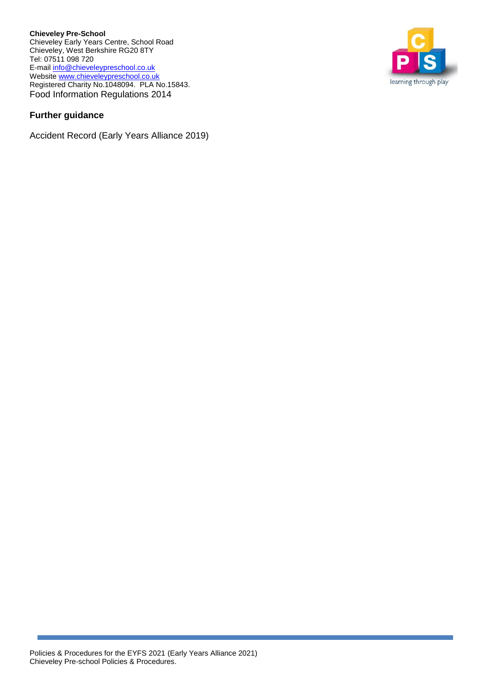**Chieveley Pre-School** Chieveley Early Years Centre, School Road Chieveley, West Berkshire RG20 8TY Tel: 07511 098 720 E-mail info@chieveleypreschool.co.uk Website [www.chieveleypreschool.co.uk](http://www.chieveleypreschool.co.uk/) Registered Charity No.1048094. PLA No.15843. Food Information Regulations 2014

## **Further guidance**

Accident Record (Early Years Alliance 2019)

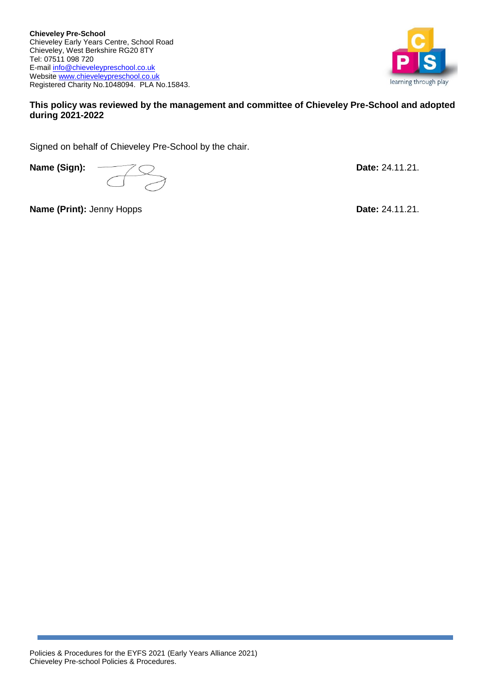

#### **This policy was reviewed by the management and committee of Chieveley Pre-School and adopted during 2021-2022**

Signed on behalf of Chieveley Pre-School by the chair.

**Name (Sign):**  $\qquad \qquad \qquad$  24.11.21.

**Name (Print):** Jenny Hopps **Date:** 24.11.21.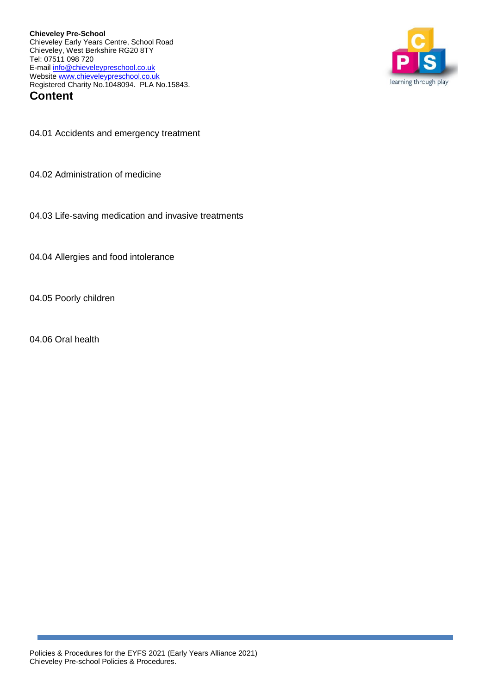**Chieveley Pre-School** Chieveley Early Years Centre, School Road Chieveley, West Berkshire RG20 8TY Tel: 07511 098 720 E-mail info@chieveleypreschool.co.uk Website [www.chieveleypreschool.co.uk](http://www.chieveleypreschool.co.uk/) Registered Charity No.1048094. PLA No.15843. **Content**



04.01 Accidents and emergency treatment

04.02 Administration of medicine

04.03 Life-saving medication and invasive treatments

04.04 Allergies and food intolerance

04.05 Poorly children

04.06 Oral health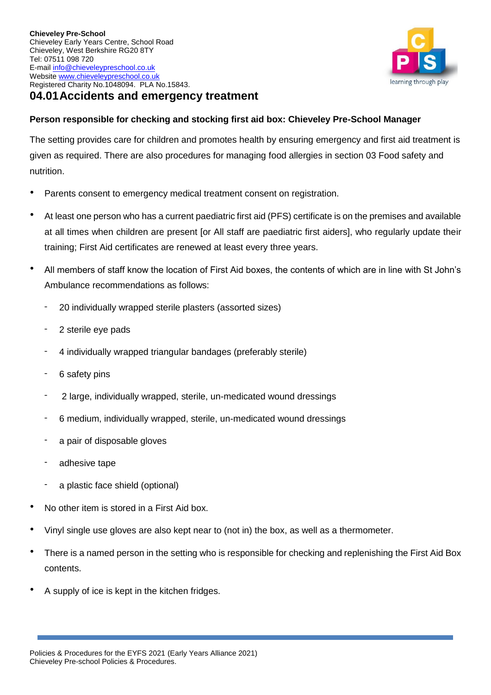

## **Person responsible for checking and stocking first aid box: Chieveley Pre-School Manager**

The setting provides care for children and promotes health by ensuring emergency and first aid treatment is given as required. There are also procedures for managing food allergies in section 03 Food safety and nutrition.

- Parents consent to emergency medical treatment consent on registration.
- At least one person who has a current paediatric first aid (PFS) certificate is on the premises and available at all times when children are present [or All staff are paediatric first aiders], who regularly update their training; First Aid certificates are renewed at least every three years.
- All members of staff know the location of First Aid boxes, the contents of which are in line with St John's Ambulance recommendations as follows:
	- 20 individually wrapped sterile plasters (assorted sizes)
	- 2 sterile eye pads
	- 4 individually wrapped triangular bandages (preferably sterile)
	- 6 safety pins
	- 2 large, individually wrapped, sterile, un-medicated wound dressings
	- 6 medium, individually wrapped, sterile, un-medicated wound dressings
	- a pair of disposable gloves
	- adhesive tape
	- a plastic face shield (optional)
- No other item is stored in a First Aid box.
- Vinyl single use gloves are also kept near to (not in) the box, as well as a thermometer.
- There is a named person in the setting who is responsible for checking and replenishing the First Aid Box contents.
- A supply of ice is kept in the kitchen fridges.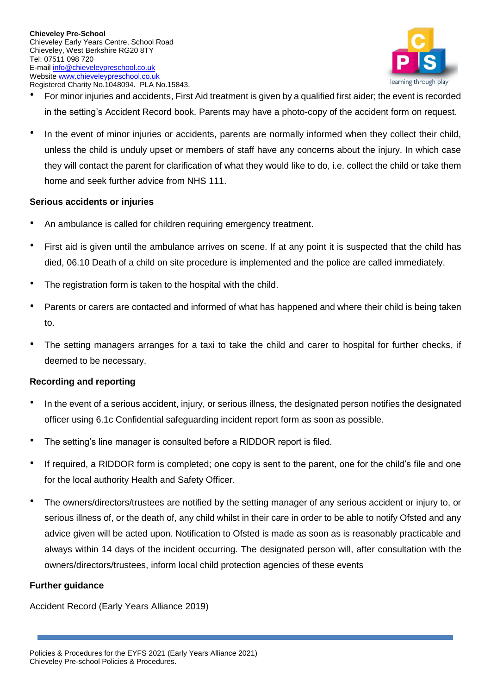

- For minor injuries and accidents, First Aid treatment is given by a qualified first aider; the event is recorded in the setting's Accident Record book. Parents may have a photo-copy of the accident form on request.
- In the event of minor injuries or accidents, parents are normally informed when they collect their child, unless the child is unduly upset or members of staff have any concerns about the injury. In which case they will contact the parent for clarification of what they would like to do, i.e. collect the child or take them home and seek further advice from NHS 111.

#### **Serious accidents or injuries**

- An ambulance is called for children requiring emergency treatment.
- First aid is given until the ambulance arrives on scene. If at any point it is suspected that the child has died, 06.10 Death of a child on site procedure is implemented and the police are called immediately.
- The registration form is taken to the hospital with the child.
- Parents or carers are contacted and informed of what has happened and where their child is being taken to.
- The setting managers arranges for a taxi to take the child and carer to hospital for further checks, if deemed to be necessary.

## **Recording and reporting**

- In the event of a serious accident, injury, or serious illness, the designated person notifies the designated officer using 6.1c Confidential safeguarding incident report form as soon as possible.
- The setting's line manager is consulted before a RIDDOR report is filed.
- If required, a RIDDOR form is completed; one copy is sent to the parent, one for the child's file and one for the local authority Health and Safety Officer.
- The owners/directors/trustees are notified by the setting manager of any serious accident or injury to, or serious illness of, or the death of, any child whilst in their care in order to be able to notify Ofsted and any advice given will be acted upon. Notification to Ofsted is made as soon as is reasonably practicable and always within 14 days of the incident occurring. The designated person will, after consultation with the owners/directors/trustees, inform local child protection agencies of these events

## **Further guidance**

Accident Record (Early Years Alliance 2019)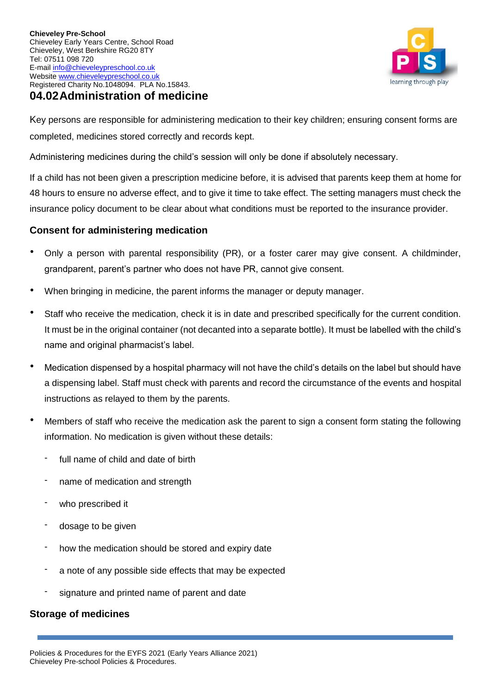

Key persons are responsible for administering medication to their key children; ensuring consent forms are completed, medicines stored correctly and records kept.

Administering medicines during the child's session will only be done if absolutely necessary.

If a child has not been given a prescription medicine before, it is advised that parents keep them at home for 48 hours to ensure no adverse effect, and to give it time to take effect. The setting managers must check the insurance policy document to be clear about what conditions must be reported to the insurance provider.

## **Consent for administering medication**

- Only a person with parental responsibility (PR), or a foster carer may give consent. A childminder, grandparent, parent's partner who does not have PR, cannot give consent.
- When bringing in medicine, the parent informs the manager or deputy manager.
- Staff who receive the medication, check it is in date and prescribed specifically for the current condition. It must be in the original container (not decanted into a separate bottle). It must be labelled with the child's name and original pharmacist's label.
- Medication dispensed by a hospital pharmacy will not have the child's details on the label but should have a dispensing label. Staff must check with parents and record the circumstance of the events and hospital instructions as relayed to them by the parents.
- Members of staff who receive the medication ask the parent to sign a consent form stating the following information. No medication is given without these details:
	- full name of child and date of birth
	- name of medication and strength
	- who prescribed it
	- dosage to be given
	- how the medication should be stored and expiry date
	- a note of any possible side effects that may be expected
	- signature and printed name of parent and date

## **Storage of medicines**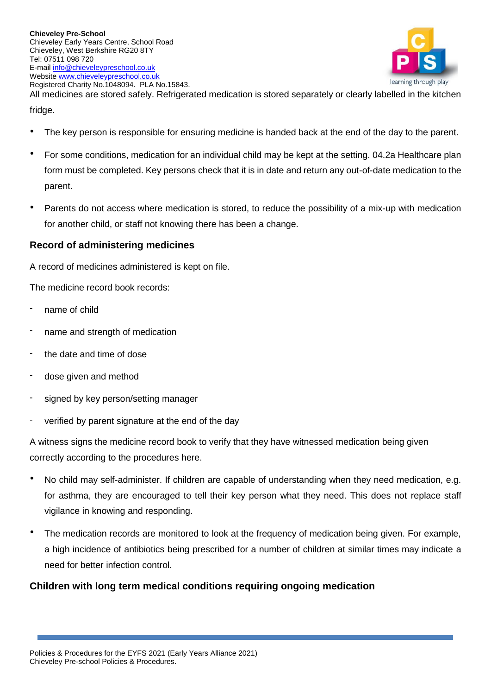

All medicines are stored safely. Refrigerated medication is stored separately or clearly labelled in the kitchen fridge.

- The key person is responsible for ensuring medicine is handed back at the end of the day to the parent.
- For some conditions, medication for an individual child may be kept at the setting. 04.2a Healthcare plan form must be completed. Key persons check that it is in date and return any out-of-date medication to the parent.
- Parents do not access where medication is stored, to reduce the possibility of a mix-up with medication for another child, or staff not knowing there has been a change.

## **Record of administering medicines**

A record of medicines administered is kept on file.

The medicine record book records:

- name of child
- name and strength of medication
- the date and time of dose
- dose given and method
- signed by key person/setting manager
- verified by parent signature at the end of the day

A witness signs the medicine record book to verify that they have witnessed medication being given correctly according to the procedures here.

- No child may self-administer. If children are capable of understanding when they need medication, e.g. for asthma, they are encouraged to tell their key person what they need. This does not replace staff vigilance in knowing and responding.
- The medication records are monitored to look at the frequency of medication being given. For example, a high incidence of antibiotics being prescribed for a number of children at similar times may indicate a need for better infection control.

# **Children with long term medical conditions requiring ongoing medication**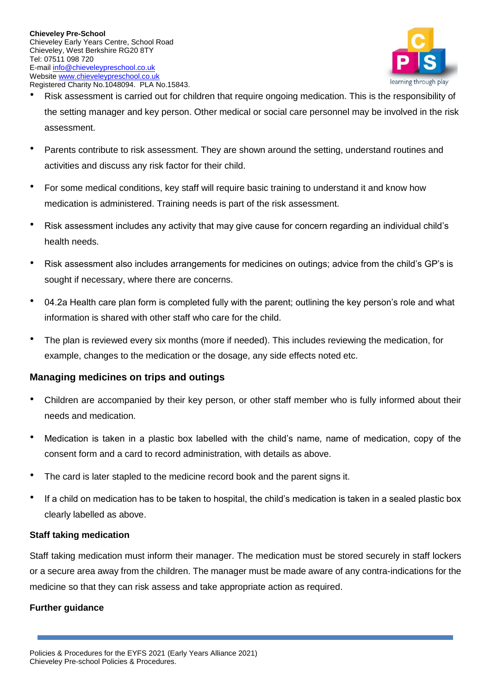

- Risk assessment is carried out for children that require ongoing medication. This is the responsibility of the setting manager and key person. Other medical or social care personnel may be involved in the risk assessment.
- Parents contribute to risk assessment. They are shown around the setting, understand routines and activities and discuss any risk factor for their child.
- For some medical conditions, key staff will require basic training to understand it and know how medication is administered. Training needs is part of the risk assessment.
- Risk assessment includes any activity that may give cause for concern regarding an individual child's health needs.
- Risk assessment also includes arrangements for medicines on outings; advice from the child's GP's is sought if necessary, where there are concerns.
- 04.2a Health care plan form is completed fully with the parent; outlining the key person's role and what information is shared with other staff who care for the child.
- The plan is reviewed every six months (more if needed). This includes reviewing the medication, for example, changes to the medication or the dosage, any side effects noted etc.

## **Managing medicines on trips and outings**

- Children are accompanied by their key person, or other staff member who is fully informed about their needs and medication.
- Medication is taken in a plastic box labelled with the child's name, name of medication, copy of the consent form and a card to record administration, with details as above.
- The card is later stapled to the medicine record book and the parent signs it.
- If a child on medication has to be taken to hospital, the child's medication is taken in a sealed plastic box clearly labelled as above.

## **Staff taking medication**

Staff taking medication must inform their manager. The medication must be stored securely in staff lockers or a secure area away from the children. The manager must be made aware of any contra-indications for the medicine so that they can risk assess and take appropriate action as required.

## **Further guidance**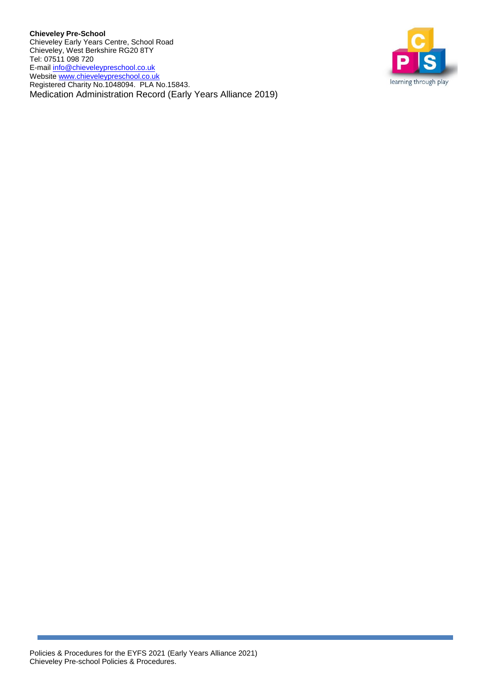**Chieveley Pre-School** Chieveley Early Years Centre, School Road Chieveley, West Berkshire RG20 8TY Tel: 07511 098 720 E-mail info@chieveleypreschool.co.uk Website [www.chieveleypreschool.co.uk](http://www.chieveleypreschool.co.uk/) Registered Charity No.1048094. PLA No.15843. Medication Administration Record (Early Years Alliance 2019)

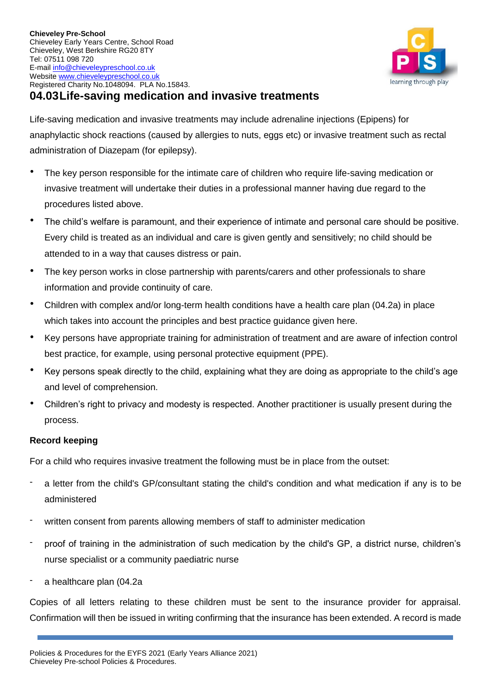

# **04.03Life-saving medication and invasive treatments**

Life-saving medication and invasive treatments may include adrenaline injections (Epipens) for anaphylactic shock reactions (caused by allergies to nuts, eggs etc) or invasive treatment such as rectal administration of Diazepam (for epilepsy).

- The key person responsible for the intimate care of children who require life-saving medication or invasive treatment will undertake their duties in a professional manner having due regard to the procedures listed above.
- The child's welfare is paramount, and their experience of intimate and personal care should be positive. Every child is treated as an individual and care is given gently and sensitively; no child should be attended to in a way that causes distress or pain.
- The key person works in close partnership with parents/carers and other professionals to share information and provide continuity of care.
- Children with complex and/or long-term health conditions have a health care plan (04.2a) in place which takes into account the principles and best practice guidance given here.
- Key persons have appropriate training for administration of treatment and are aware of infection control best practice, for example, using personal protective equipment (PPE).
- Key persons speak directly to the child, explaining what they are doing as appropriate to the child's age and level of comprehension.
- Children's right to privacy and modesty is respected. Another practitioner is usually present during the process.

## **Record keeping**

For a child who requires invasive treatment the following must be in place from the outset:

- a letter from the child's GP/consultant stating the child's condition and what medication if any is to be administered
- written consent from parents allowing members of staff to administer medication
- proof of training in the administration of such medication by the child's GP, a district nurse, children's nurse specialist or a community paediatric nurse
- a healthcare plan (04.2a

Copies of all letters relating to these children must be sent to the insurance provider for appraisal. Confirmation will then be issued in writing confirming that the insurance has been extended. A record is made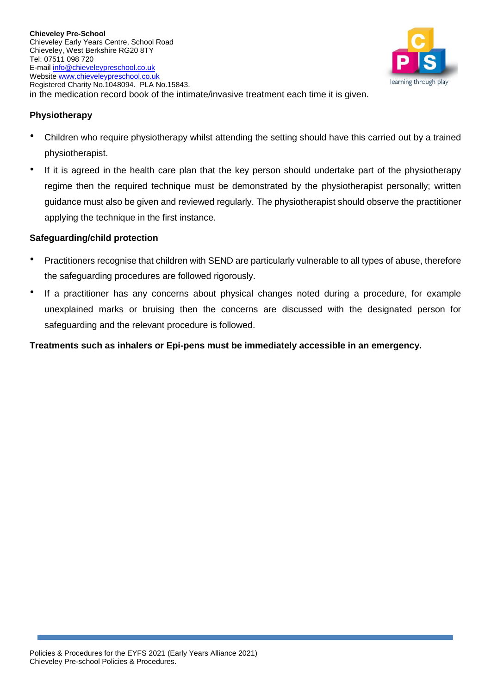

## **Physiotherapy**

- Children who require physiotherapy whilst attending the setting should have this carried out by a trained physiotherapist.
- If it is agreed in the health care plan that the key person should undertake part of the physiotherapy regime then the required technique must be demonstrated by the physiotherapist personally; written guidance must also be given and reviewed regularly. The physiotherapist should observe the practitioner applying the technique in the first instance.

#### **Safeguarding/child protection**

- Practitioners recognise that children with SEND are particularly vulnerable to all types of abuse, therefore the safeguarding procedures are followed rigorously.
- If a practitioner has any concerns about physical changes noted during a procedure, for example unexplained marks or bruising then the concerns are discussed with the designated person for safeguarding and the relevant procedure is followed.

**Treatments such as inhalers or Epi-pens must be immediately accessible in an emergency.**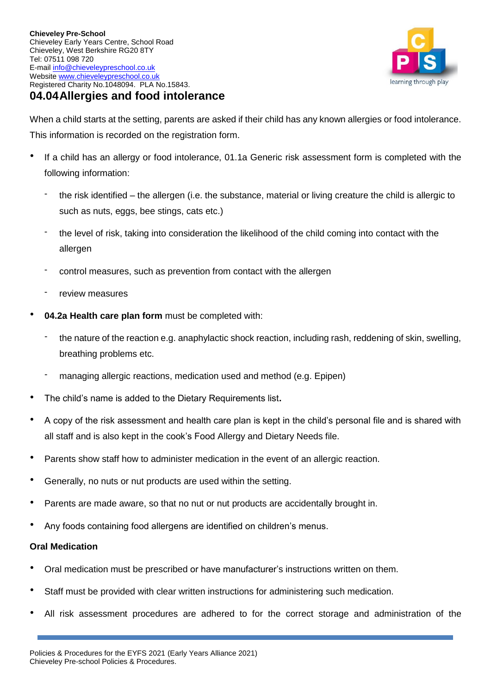

When a child starts at the setting, parents are asked if their child has any known allergies or food intolerance. This information is recorded on the registration form.

- If a child has an allergy or food intolerance, 01.1a Generic risk assessment form is completed with the following information:
	- the risk identified the allergen (i.e. the substance, material or living creature the child is allergic to such as nuts, eggs, bee stings, cats etc.)
	- the level of risk, taking into consideration the likelihood of the child coming into contact with the allergen
	- control measures, such as prevention from contact with the allergen
	- review measures
- **04.2a Health care plan form** must be completed with:
	- the nature of the reaction e.g. anaphylactic shock reaction, including rash, reddening of skin, swelling, breathing problems etc.
	- managing allergic reactions, medication used and method (e.g. Epipen)
- The child's name is added to the Dietary Requirements list**.**
- A copy of the risk assessment and health care plan is kept in the child's personal file and is shared with all staff and is also kept in the cook's Food Allergy and Dietary Needs file.
- Parents show staff how to administer medication in the event of an allergic reaction.
- Generally, no nuts or nut products are used within the setting.
- Parents are made aware, so that no nut or nut products are accidentally brought in.
- Any foods containing food allergens are identified on children's menus.

## **Oral Medication**

- Oral medication must be prescribed or have manufacturer's instructions written on them.
- Staff must be provided with clear written instructions for administering such medication.
- All risk assessment procedures are adhered to for the correct storage and administration of the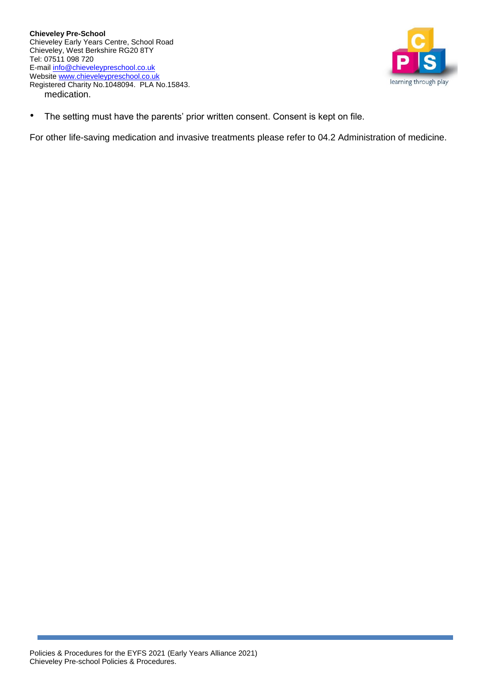

• The setting must have the parents' prior written consent. Consent is kept on file.

For other life-saving medication and invasive treatments please refer to 04.2 Administration of medicine.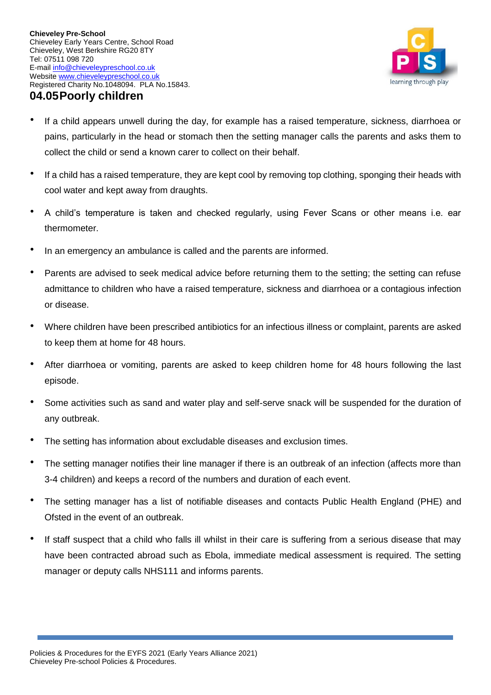

- If a child appears unwell during the day, for example has a raised temperature, sickness, diarrhoea or pains, particularly in the head or stomach then the setting manager calls the parents and asks them to collect the child or send a known carer to collect on their behalf.
- If a child has a raised temperature, they are kept cool by removing top clothing, sponging their heads with cool water and kept away from draughts.
- A child's temperature is taken and checked regularly, using Fever Scans or other means i.e. ear thermometer.
- In an emergency an ambulance is called and the parents are informed.
- Parents are advised to seek medical advice before returning them to the setting; the setting can refuse admittance to children who have a raised temperature, sickness and diarrhoea or a contagious infection or disease.
- Where children have been prescribed antibiotics for an infectious illness or complaint, parents are asked to keep them at home for 48 hours.
- After diarrhoea or vomiting, parents are asked to keep children home for 48 hours following the last episode.
- Some activities such as sand and water play and self-serve snack will be suspended for the duration of any outbreak.
- The setting has information about excludable diseases and exclusion times.
- The setting manager notifies their line manager if there is an outbreak of an infection (affects more than 3-4 children) and keeps a record of the numbers and duration of each event.
- The setting manager has a list of notifiable diseases and contacts Public Health England (PHE) and Ofsted in the event of an outbreak.
- If staff suspect that a child who falls ill whilst in their care is suffering from a serious disease that may have been contracted abroad such as Ebola, immediate medical assessment is required. The setting manager or deputy calls NHS111 and informs parents.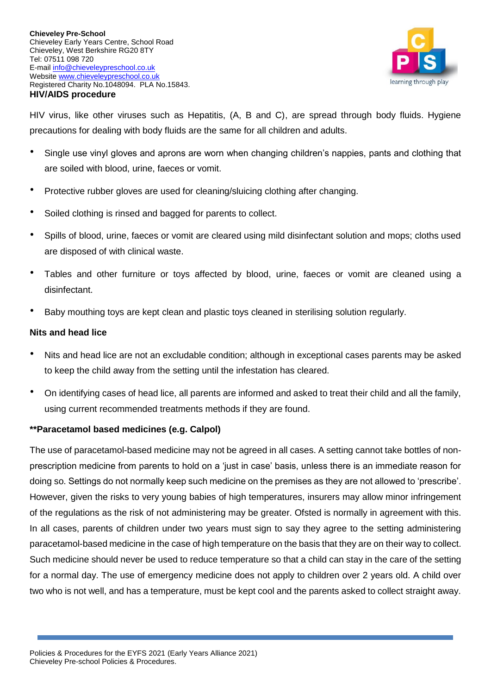

HIV virus, like other viruses such as Hepatitis, (A, B and C), are spread through body fluids. Hygiene precautions for dealing with body fluids are the same for all children and adults.

- Single use vinyl gloves and aprons are worn when changing children's nappies, pants and clothing that are soiled with blood, urine, faeces or vomit.
- Protective rubber gloves are used for cleaning/sluicing clothing after changing.
- Soiled clothing is rinsed and bagged for parents to collect.
- Spills of blood, urine, faeces or vomit are cleared using mild disinfectant solution and mops; cloths used are disposed of with clinical waste.
- Tables and other furniture or toys affected by blood, urine, faeces or vomit are cleaned using a disinfectant.
- Baby mouthing toys are kept clean and plastic toys cleaned in sterilising solution regularly.

#### **Nits and head lice**

- Nits and head lice are not an excludable condition; although in exceptional cases parents may be asked to keep the child away from the setting until the infestation has cleared.
- On identifying cases of head lice, all parents are informed and asked to treat their child and all the family, using current recommended treatments methods if they are found.

## **\*\*Paracetamol based medicines (e.g. Calpol)**

The use of paracetamol-based medicine may not be agreed in all cases. A setting cannot take bottles of nonprescription medicine from parents to hold on a 'just in case' basis, unless there is an immediate reason for doing so. Settings do not normally keep such medicine on the premises as they are not allowed to 'prescribe'. However, given the risks to very young babies of high temperatures, insurers may allow minor infringement of the regulations as the risk of not administering may be greater. Ofsted is normally in agreement with this. In all cases, parents of children under two years must sign to say they agree to the setting administering paracetamol-based medicine in the case of high temperature on the basis that they are on their way to collect. Such medicine should never be used to reduce temperature so that a child can stay in the care of the setting for a normal day. The use of emergency medicine does not apply to children over 2 years old. A child over two who is not well, and has a temperature, must be kept cool and the parents asked to collect straight away.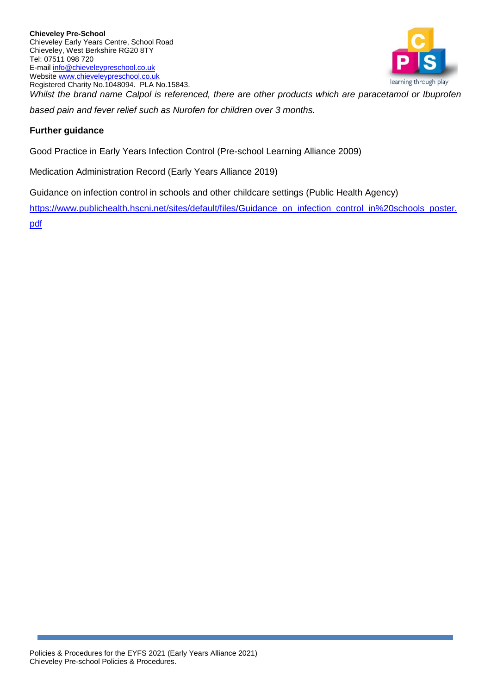

*Whilst the brand name Calpol is referenced, there are other products which are paracetamol or Ibuprofen based pain and fever relief such as Nurofen for children over 3 months.* 

## **Further guidance**

Good Practice in Early Years Infection Control (Pre-school Learning Alliance 2009)

Medication Administration Record (Early Years Alliance 2019)

Guidance on infection control in schools and other childcare settings (Public Health Agency)

[https://www.publichealth.hscni.net/sites/default/files/Guidance\\_on\\_infection\\_control\\_in%20schools\\_poster.](https://www.publichealth.hscni.net/sites/default/files/Guidance_on_infection_control_in%20schools_poster.pdf) [pdf](https://www.publichealth.hscni.net/sites/default/files/Guidance_on_infection_control_in%20schools_poster.pdf)